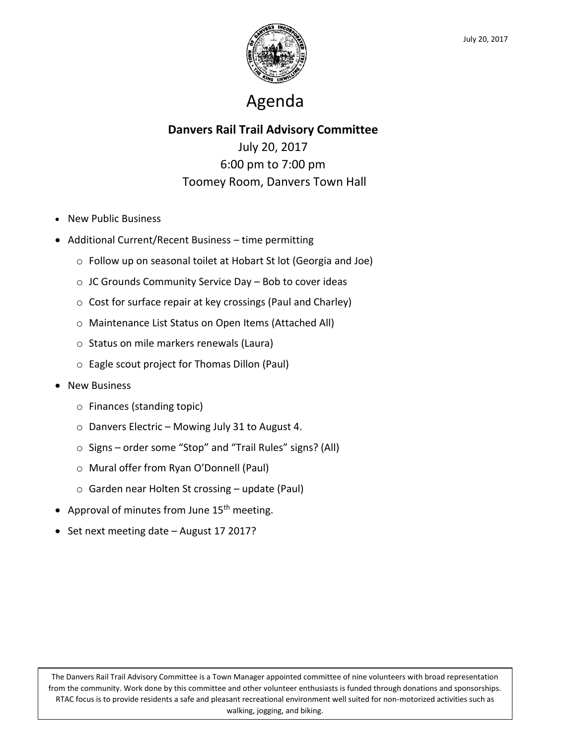

# Agenda

### **Danvers Rail Trail Advisory Committee**

July 20, 2017 6:00 pm to 7:00 pm Toomey Room, Danvers Town Hall

- New Public Business
- Additional Current/Recent Business time permitting
	- o Follow up on seasonal toilet at Hobart St lot (Georgia and Joe)
	- o JC Grounds Community Service Day Bob to cover ideas
	- o Cost for surface repair at key crossings (Paul and Charley)
	- o Maintenance List Status on Open Items (Attached All)
	- o Status on mile markers renewals (Laura)
	- o Eagle scout project for Thomas Dillon (Paul)
- **•** New Business
	- o Finances (standing topic)
	- o Danvers Electric Mowing July 31 to August 4.
	- o Signs order some "Stop" and "Trail Rules" signs? (All)
	- o Mural offer from Ryan O'Donnell (Paul)
	- o Garden near Holten St crossing update (Paul)
- Approval of minutes from June  $15<sup>th</sup>$  meeting.
- Set next meeting date August 17 2017?

walking, jogging, and biking. The Danvers Rail Trail Advisory Committee is a Town Manager appointed committee of nine volunteers with broad representation from the community. Work done by this committee and other volunteer enthusiasts is funded through donations and sponsorships. RTAC focus is to provide residents a safe and pleasant recreational environment well suited for non-motorized activities such as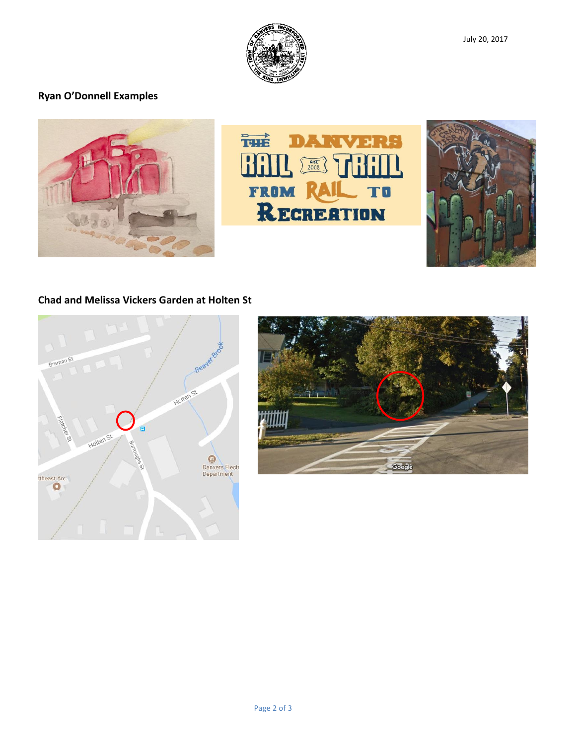

## **Ryan O'Donnell Examples**







#### **Chad and Melissa Vickers Garden at Holten St**